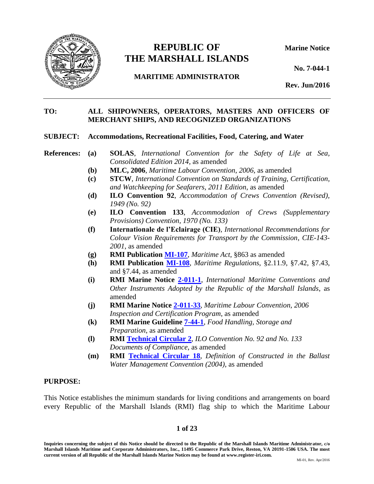

# **REPUBLIC OF Marine Notice THE MARSHALL ISLANDS**

**No. 7-044-1**

**MARITIME ADMINISTRATOR**

**Rev. Jun/2016**

# **TO: ALL SHIPOWNERS, OPERATORS, MASTERS AND OFFICERS OF MERCHANT SHIPS, AND RECOGNIZED ORGANIZATIONS**

#### **SUBJECT: Accommodations, Recreational Facilities, Food, Catering, and Water**

- **References: (a) SOLAS**, *International Convention for the Safety of Life at Sea, Consolidated Edition 2014*, as amended
	- **(b) MLC, 2006**, *Maritime Labour Convention*, *2006*, as amended
	- **(c) STCW**, *International Convention on Standards of Training, Certification, and Watchkeeping for Seafarers, 2011 Edition*, as amended
	- **(d) ILO Convention 92**, *Accommodation of Crews Convention (Revised), 1949 (No. 92)*
	- **(e) ILO Convention 133**, *Accommodation of Crews (Supplementary Provisions) Convention, 1970 (No. 133)*
	- **(f) Internationale de l'Eclairage (CIE)**, *International Recommendations for Colour Vision Requirements for Transport by the Commission*, *CIE-143- 2001*, as amended
	- **(g) RMI Publication [MI-107](https://www.register-iri.com/forms/upload/MI-107.pdf)**, *Maritime Act*, §863 as amended
	- **(h) RMI Publication [MI-108](http://www.register-iri.com/forms/upload/MI-108.pdf)**, *Maritime Regulations*, §2.11.9, §7.42, §7.43, and §7.44, as amended
	- **(i) RMI Marine Notice [2-011-1](http://www.register-iri.com/forms/upload/MN-2-011-1.pdf)**, *International Maritime Conventions and Other Instruments Adopted by the Republic of the Marshall Islands*, as amended
	- **(j) RMI Marine Notice [2-011-33](http://www.register-iri.com/forms/upload/MN-2-011-33.pdf)**, *Maritime Labour Convention, 2006 Inspection and Certification Program*, as amended
	- **(k) RMI Marine Guideline [7-44-1](http://www.register-iri.com/forms/upload/MG-7-44-1.pdf#search=7-44-1)**, *Food Handling, Storage and Preparation*, as amended
	- **(l) RMI [Technical Circular 2](http://www.register-iri.com/forms/upload/TechCirc-2-Rev-1.pdf)**, *ILO Convention No. 92 and No. 133 Documents of Compliance*, as amended
	- **(m) RMI [Technical Circular 18](http://www.register-iri.com/forms/upload/TechCirc-18.pdf)**, *Definition of Constructed in the Ballast Water Management Convention (2004)*, as amended

#### <span id="page-0-0"></span>**PURPOSE:**

This Notice establishes the minimum standards for living conditions and arrangements on board every Republic of the Marshall Islands (RMI) flag ship to which the Maritime Labour

#### **1 of 23**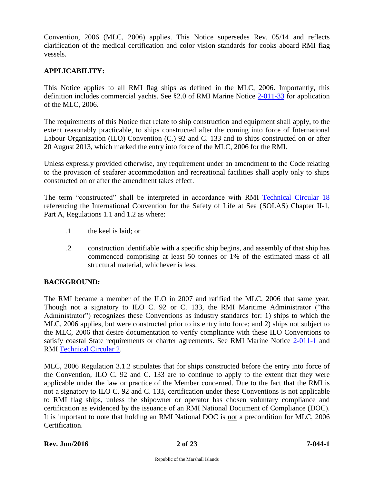Convention, 2006 (MLC, 2006) applies. This Notice supersedes Rev. 05/14 and reflects clarification of the medical certification and color vision standards for cooks aboard RMI flag vessels.

# <span id="page-1-0"></span>**APPLICABILITY:**

This Notice applies to all RMI flag ships as defined in the MLC, 2006. Importantly, this definition includes commercial yachts. See §2.0 of RMI Marine Notice [2-011-33](http://www.register-iri.com/forms/upload/MN-2-011-33.pdf) for application of the MLC, 2006.

The requirements of this Notice that relate to ship construction and equipment shall apply, to the extent reasonably practicable, to ships constructed after the coming into force of International Labour Organization (ILO) Convention (C.) 92 and C. 133 and to ships constructed on or after 20 August 2013, which marked the entry into force of the MLC, 2006 for the RMI.

Unless expressly provided otherwise, any requirement under an amendment to the Code relating to the provision of seafarer accommodation and recreational facilities shall apply only to ships constructed on or after the amendment takes effect.

The term "constructed" shall be interpreted in accordance with RMI [Technical Circular 18](http://www.register-iri.com/forms/upload/TechCirc-18.pdf) referencing the International Convention for the Safety of Life at Sea (SOLAS) Chapter II-1, Part A, Regulations 1.1 and 1.2 as where:

- .1 the keel is laid; or
- .2 construction identifiable with a specific ship begins, and assembly of that ship has commenced comprising at least 50 tonnes or 1% of the estimated mass of all structural material, whichever is less.

# <span id="page-1-1"></span>**BACKGROUND:**

The RMI became a member of the ILO in 2007 and ratified the MLC, 2006 that same year. Though not a signatory to ILO C. 92 or C. 133, the RMI Maritime Administrator ("the Administrator") recognizes these Conventions as industry standards for: 1) ships to which the MLC, 2006 applies, but were constructed prior to its entry into force; and 2) ships not subject to the MLC, 2006 that desire documentation to verify compliance with these ILO Conventions to satisfy coastal State requirements or charter agreements. See RMI Marine Notice [2-011-1](http://www.register-iri.com/forms/upload/MN-2-011-1.pdf) and RMI [Technical Circular 2.](http://www.register-iri.com/forms/upload/TechCirc-2-Rev-1.pdf)

MLC, 2006 Regulation 3.1.2 stipulates that for ships constructed before the entry into force of the Convention, ILO C. 92 and C. 133 are to continue to apply to the extent that they were applicable under the law or practice of the Member concerned. Due to the fact that the RMI is not a signatory to ILO C. 92 and C. 133, certification under these Conventions is not applicable to RMI flag ships, unless the shipowner or operator has chosen voluntary compliance and certification as evidenced by the issuance of an RMI National Document of Compliance (DOC). It is important to note that holding an RMI National DOC is not a precondition for MLC, 2006 Certification.

#### **Rev. Jun/2016 2 of 23 7-044-1**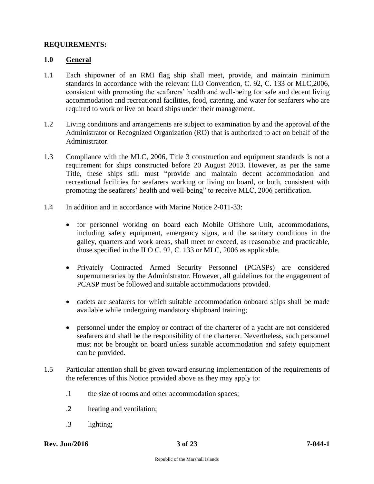# <span id="page-2-0"></span>**REQUIREMENTS:**

# <span id="page-2-1"></span>**1.0 General**

- 1.1 Each shipowner of an RMI flag ship shall meet, provide, and maintain minimum standards in accordance with the relevant ILO Convention, C. 92, C. 133 or MLC,2006, consistent with promoting the seafarers' health and well-being for safe and decent living accommodation and recreational facilities, food, catering, and water for seafarers who are required to work or live on board ships under their management.
- 1.2 Living conditions and arrangements are subject to examination by and the approval of the Administrator or Recognized Organization (RO) that is authorized to act on behalf of the Administrator.
- 1.3 Compliance with the MLC, 2006, Title 3 construction and equipment standards is not a requirement for ships constructed before 20 August 2013. However, as per the same Title, these ships still must "provide and maintain decent accommodation and recreational facilities for seafarers working or living on board, or both, consistent with promoting the seafarers' health and well-being" to receive MLC, 2006 certification.
- 1.4 In addition and in accordance with Marine Notice 2-011-33:
	- for personnel working on board each Mobile Offshore Unit, accommodations, including safety equipment, emergency signs, and the sanitary conditions in the galley, quarters and work areas, shall meet or exceed, as reasonable and practicable, those specified in the ILO C. 92, C. 133 or MLC, 2006 as applicable.
	- Privately Contracted Armed Security Personnel (PCASPs) are considered supernumeraries by the Administrator. However, all guidelines for the engagement of PCASP must be followed and suitable accommodations provided.
	- cadets are seafarers for which suitable accommodation onboard ships shall be made available while undergoing mandatory shipboard training;
	- personnel under the employ or contract of the charterer of a yacht are not considered seafarers and shall be the responsibility of the charterer. Nevertheless, such personnel must not be brought on board unless suitable accommodation and safety equipment can be provided.
- 1.5 Particular attention shall be given toward ensuring implementation of the requirements of the references of this Notice provided above as they may apply to:
	- .1 the size of rooms and other accommodation spaces;
	- .2 heating and ventilation;
	- .3 lighting;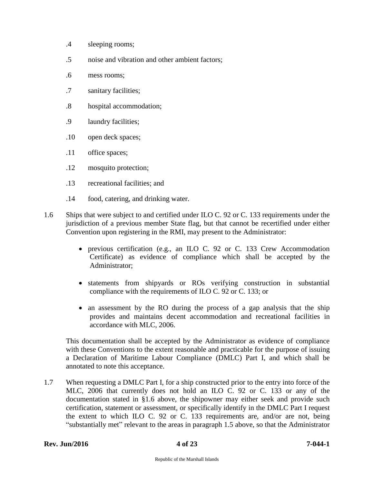- .4 sleeping rooms;
- .5 noise and vibration and other ambient factors;
- .6 mess rooms;
- .7 sanitary facilities;
- .8 hospital accommodation;
- .9 laundry facilities;
- .10 open deck spaces;
- .11 office spaces;
- .12 mosquito protection;
- .13 recreational facilities; and
- .14 food, catering, and drinking water.
- 1.6 Ships that were subject to and certified under ILO C. 92 or C. 133 requirements under the jurisdiction of a previous member State flag, but that cannot be recertified under either Convention upon registering in the RMI, may present to the Administrator:
	- previous certification (e.g., an ILO C. 92 or C. 133 Crew Accommodation Certificate) as evidence of compliance which shall be accepted by the Administrator;
	- statements from shipyards or ROs verifying construction in substantial compliance with the requirements of ILO C. 92 or C. 133; or
	- an assessment by the RO during the process of a gap analysis that the ship provides and maintains decent accommodation and recreational facilities in accordance with MLC, 2006.

This documentation shall be accepted by the Administrator as evidence of compliance with these Conventions to the extent reasonable and practicable for the purpose of issuing a Declaration of Maritime Labour Compliance (DMLC) Part I, and which shall be annotated to note this acceptance.

1.7 When requesting a DMLC Part I, for a ship constructed prior to the entry into force of the MLC, 2006 that currently does not hold an ILO C. 92 or C. 133 or any of the documentation stated in §1.6 above, the shipowner may either seek and provide such certification, statement or assessment, or specifically identify in the DMLC Part I request the extent to which ILO C. 92 or C. 133 requirements are, and/or are not, being "substantially met" relevant to the areas in paragraph 1.5 above, so that the Administrator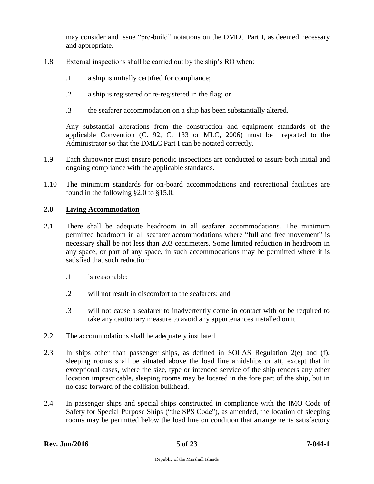may consider and issue "pre-build" notations on the DMLC Part I, as deemed necessary and appropriate.

- 1.8 External inspections shall be carried out by the ship's RO when:
	- .1 a ship is initially certified for compliance;
	- .2 a ship is registered or re-registered in the flag; or
	- .3 the seafarer accommodation on a ship has been substantially altered.

Any substantial alterations from the construction and equipment standards of the applicable Convention (C. 92, C. 133 or MLC, 2006) must be reported to the Administrator so that the DMLC Part I can be notated correctly.

- 1.9 Each shipowner must ensure periodic inspections are conducted to assure both initial and ongoing compliance with the applicable standards.
- 1.10 The minimum standards for on-board accommodations and recreational facilities are found in the following §2.0 to §15.0.

# <span id="page-4-0"></span>**2.0 Living Accommodation**

- 2.1 There shall be adequate headroom in all seafarer accommodations. The minimum permitted headroom in all seafarer accommodations where "full and free movement" is necessary shall be not less than 203 centimeters. Some limited reduction in headroom in any space, or part of any space, in such accommodations may be permitted where it is satisfied that such reduction:
	- .1 is reasonable;
	- .2 will not result in discomfort to the seafarers; and
	- .3 will not cause a seafarer to inadvertently come in contact with or be required to take any cautionary measure to avoid any appurtenances installed on it.
- 2.2 The accommodations shall be adequately insulated.
- 2.3 In ships other than passenger ships, as defined in SOLAS Regulation 2(e) and (f), sleeping rooms shall be situated above the load line amidships or aft, except that in exceptional cases, where the size, type or intended service of the ship renders any other location impracticable, sleeping rooms may be located in the fore part of the ship, but in no case forward of the collision bulkhead.
- 2.4 In passenger ships and special ships constructed in compliance with the IMO Code of Safety for Special Purpose Ships ("the SPS Code"), as amended, the location of sleeping rooms may be permitted below the load line on condition that arrangements satisfactory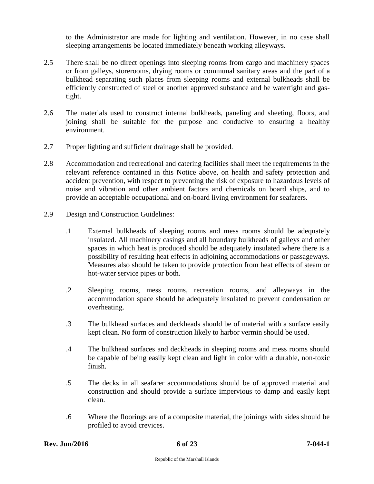to the Administrator are made for lighting and ventilation. However, in no case shall sleeping arrangements be located immediately beneath working alleyways.

- 2.5 There shall be no direct openings into sleeping rooms from cargo and machinery spaces or from galleys, storerooms, drying rooms or communal sanitary areas and the part of a bulkhead separating such places from sleeping rooms and external bulkheads shall be efficiently constructed of steel or another approved substance and be watertight and gastight.
- 2.6 The materials used to construct internal bulkheads, paneling and sheeting, floors, and joining shall be suitable for the purpose and conducive to ensuring a healthy environment.
- 2.7 Proper lighting and sufficient drainage shall be provided.
- 2.8 Accommodation and recreational and catering facilities shall meet the requirements in the relevant reference contained in this Notice above, on health and safety protection and accident prevention, with respect to preventing the risk of exposure to hazardous levels of noise and vibration and other ambient factors and chemicals on board ships, and to provide an acceptable occupational and on-board living environment for seafarers.
- 2.9 Design and Construction Guidelines:
	- .1 External bulkheads of sleeping rooms and mess rooms should be adequately insulated. All machinery casings and all boundary bulkheads of galleys and other spaces in which heat is produced should be adequately insulated where there is a possibility of resulting heat effects in adjoining accommodations or passageways. Measures also should be taken to provide protection from heat effects of steam or hot-water service pipes or both.
	- .2 Sleeping rooms, mess rooms, recreation rooms, and alleyways in the accommodation space should be adequately insulated to prevent condensation or overheating.
	- .3 The bulkhead surfaces and deckheads should be of material with a surface easily kept clean. No form of construction likely to harbor vermin should be used.
	- .4 The bulkhead surfaces and deckheads in sleeping rooms and mess rooms should be capable of being easily kept clean and light in color with a durable, non-toxic finish.
	- .5 The decks in all seafarer accommodations should be of approved material and construction and should provide a surface impervious to damp and easily kept clean.
	- .6 Where the floorings are of a composite material, the joinings with sides should be profiled to avoid crevices.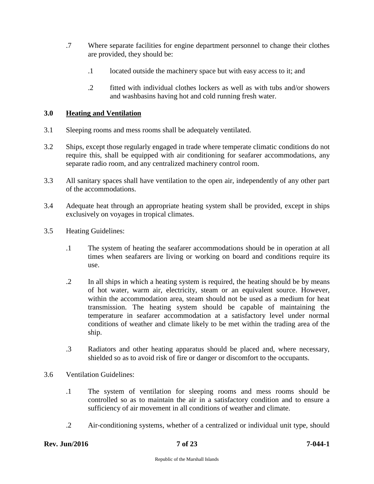- .7 Where separate facilities for engine department personnel to change their clothes are provided, they should be:
	- .1 located outside the machinery space but with easy access to it; and
	- .2 fitted with individual clothes lockers as well as with tubs and/or showers and washbasins having hot and cold running fresh water.

# <span id="page-6-0"></span>**3.0 Heating and Ventilation**

- 3.1 Sleeping rooms and mess rooms shall be adequately ventilated.
- 3.2 Ships, except those regularly engaged in trade where temperate climatic conditions do not require this, shall be equipped with air conditioning for seafarer accommodations, any separate radio room, and any centralized machinery control room.
- 3.3 All sanitary spaces shall have ventilation to the open air, independently of any other part of the accommodations.
- 3.4 Adequate heat through an appropriate heating system shall be provided, except in ships exclusively on voyages in tropical climates.
- 3.5 Heating Guidelines:
	- .1 The system of heating the seafarer accommodations should be in operation at all times when seafarers are living or working on board and conditions require its use.
	- .2 In all ships in which a heating system is required, the heating should be by means of hot water, warm air, electricity, steam or an equivalent source. However, within the accommodation area, steam should not be used as a medium for heat transmission. The heating system should be capable of maintaining the temperature in seafarer accommodation at a satisfactory level under normal conditions of weather and climate likely to be met within the trading area of the ship.
	- .3 Radiators and other heating apparatus should be placed and, where necessary, shielded so as to avoid risk of fire or danger or discomfort to the occupants.
- 3.6 Ventilation Guidelines:
	- .1 The system of ventilation for sleeping rooms and mess rooms should be controlled so as to maintain the air in a satisfactory condition and to ensure a sufficiency of air movement in all conditions of weather and climate.
	- .2 Air-conditioning systems, whether of a centralized or individual unit type, should

# **Rev. Jun/2016 7 of 23 7-044-1**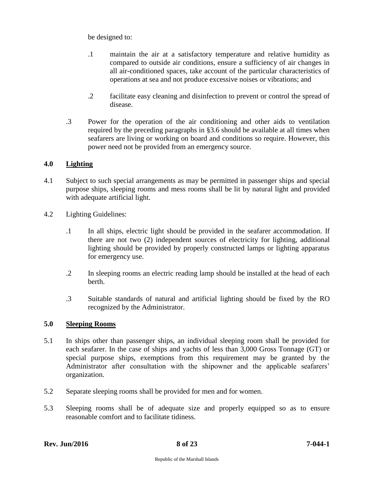be designed to:

- .1 maintain the air at a satisfactory temperature and relative humidity as compared to outside air conditions, ensure a sufficiency of air changes in all air-conditioned spaces, take account of the particular characteristics of operations at sea and not produce excessive noises or vibrations; and
- .2 facilitate easy cleaning and disinfection to prevent or control the spread of disease.
- .3 Power for the operation of the air conditioning and other aids to ventilation required by the preceding paragraphs in §3.6 should be available at all times when seafarers are living or working on board and conditions so require. However, this power need not be provided from an emergency source.

# <span id="page-7-0"></span>**4.0 Lighting**

- 4.1 Subject to such special arrangements as may be permitted in passenger ships and special purpose ships, sleeping rooms and mess rooms shall be lit by natural light and provided with adequate artificial light.
- 4.2 Lighting Guidelines:
	- .1 In all ships, electric light should be provided in the seafarer accommodation. If there are not two (2) independent sources of electricity for lighting, additional lighting should be provided by properly constructed lamps or lighting apparatus for emergency use.
	- .2 In sleeping rooms an electric reading lamp should be installed at the head of each berth.
	- .3 Suitable standards of natural and artificial lighting should be fixed by the RO recognized by the Administrator.

# <span id="page-7-1"></span>**5.0 Sleeping Rooms**

- 5.1 In ships other than passenger ships, an individual sleeping room shall be provided for each seafarer. In the case of ships and yachts of less than 3,000 Gross Tonnage (GT) or special purpose ships, exemptions from this requirement may be granted by the Administrator after consultation with the shipowner and the applicable seafarers' organization.
- 5.2 Separate sleeping rooms shall be provided for men and for women.
- 5.3 Sleeping rooms shall be of adequate size and properly equipped so as to ensure reasonable comfort and to facilitate tidiness.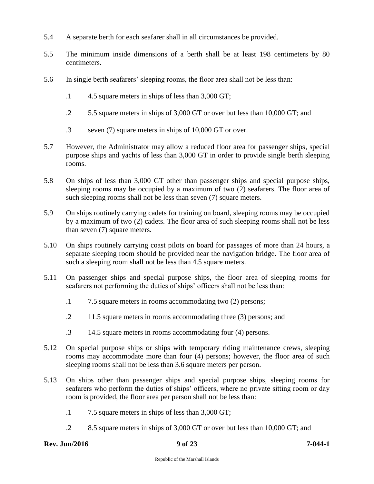- 5.4 A separate berth for each seafarer shall in all circumstances be provided.
- 5.5 The minimum inside dimensions of a berth shall be at least 198 centimeters by 80 centimeters.
- 5.6 In single berth seafarers' sleeping rooms, the floor area shall not be less than:
	- .1 4.5 square meters in ships of less than 3,000 GT;
	- .2 5.5 square meters in ships of 3,000 GT or over but less than 10,000 GT; and
	- .3 seven (7) square meters in ships of 10,000 GT or over.
- 5.7 However, the Administrator may allow a reduced floor area for passenger ships, special purpose ships and yachts of less than 3,000 GT in order to provide single berth sleeping rooms.
- 5.8 On ships of less than 3,000 GT other than passenger ships and special purpose ships, sleeping rooms may be occupied by a maximum of two (2) seafarers. The floor area of such sleeping rooms shall not be less than seven (7) square meters.
- 5.9 On ships routinely carrying cadets for training on board, sleeping rooms may be occupied by a maximum of two (2) cadets. The floor area of such sleeping rooms shall not be less than seven (7) square meters.
- 5.10 On ships routinely carrying coast pilots on board for passages of more than 24 hours, a separate sleeping room should be provided near the navigation bridge. The floor area of such a sleeping room shall not be less than 4.5 square meters.
- 5.11 On passenger ships and special purpose ships, the floor area of sleeping rooms for seafarers not performing the duties of ships' officers shall not be less than:
	- .1 7.5 square meters in rooms accommodating two (2) persons;
	- .2 11.5 square meters in rooms accommodating three (3) persons; and
	- .3 14.5 square meters in rooms accommodating four (4) persons.
- 5.12 On special purpose ships or ships with temporary riding maintenance crews, sleeping rooms may accommodate more than four (4) persons; however, the floor area of such sleeping rooms shall not be less than 3.6 square meters per person.
- 5.13 On ships other than passenger ships and special purpose ships, sleeping rooms for seafarers who perform the duties of ships' officers, where no private sitting room or day room is provided, the floor area per person shall not be less than:
	- .1 7.5 square meters in ships of less than 3,000 GT;
	- .2 8.5 square meters in ships of 3,000 GT or over but less than 10,000 GT; and

# **Rev. Jun/2016 9 of 23 7-044-1**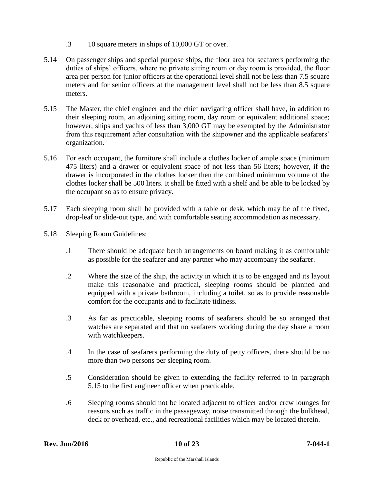- .3 10 square meters in ships of 10,000 GT or over.
- 5.14 On passenger ships and special purpose ships, the floor area for seafarers performing the duties of ships' officers, where no private sitting room or day room is provided, the floor area per person for junior officers at the operational level shall not be less than 7.5 square meters and for senior officers at the management level shall not be less than 8.5 square meters.
- 5.15 The Master, the chief engineer and the chief navigating officer shall have, in addition to their sleeping room, an adjoining sitting room, day room or equivalent additional space; however, ships and yachts of less than 3,000 GT may be exempted by the Administrator from this requirement after consultation with the shipowner and the applicable seafarers' organization.
- 5.16 For each occupant, the furniture shall include a clothes locker of ample space (minimum 475 liters) and a drawer or equivalent space of not less than 56 liters; however, if the drawer is incorporated in the clothes locker then the combined minimum volume of the clothes locker shall be 500 liters. It shall be fitted with a shelf and be able to be locked by the occupant so as to ensure privacy.
- 5.17 Each sleeping room shall be provided with a table or desk, which may be of the fixed, drop-leaf or slide-out type, and with comfortable seating accommodation as necessary.
- 5.18 Sleeping Room Guidelines:
	- .1 There should be adequate berth arrangements on board making it as comfortable as possible for the seafarer and any partner who may accompany the seafarer.
	- .2 Where the size of the ship, the activity in which it is to be engaged and its layout make this reasonable and practical, sleeping rooms should be planned and equipped with a private bathroom, including a toilet, so as to provide reasonable comfort for the occupants and to facilitate tidiness.
	- .3 As far as practicable, sleeping rooms of seafarers should be so arranged that watches are separated and that no seafarers working during the day share a room with watchkeepers.
	- .4 In the case of seafarers performing the duty of petty officers, there should be no more than two persons per sleeping room.
	- .5 Consideration should be given to extending the facility referred to in paragraph 5.15 to the first engineer officer when practicable.
	- .6 Sleeping rooms should not be located adjacent to officer and/or crew lounges for reasons such as traffic in the passageway, noise transmitted through the bulkhead, deck or overhead, etc., and recreational facilities which may be located therein.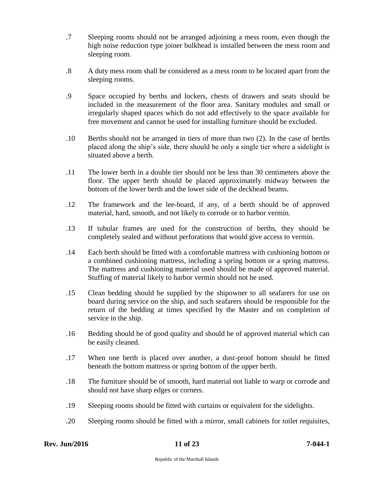- .7 Sleeping rooms should not be arranged adjoining a mess room, even though the high noise reduction type joiner bulkhead is installed between the mess room and sleeping room.
- .8 A duty mess room shall be considered as a mess room to be located apart from the sleeping rooms.
- .9 Space occupied by berths and lockers, chests of drawers and seats should be included in the measurement of the floor area. Sanitary modules and small or irregularly shaped spaces which do not add effectively to the space available for free movement and cannot be used for installing furniture should be excluded.
- .10 Berths should not be arranged in tiers of more than two (2). In the case of berths placed along the ship's side, there should be only a single tier where a sidelight is situated above a berth.
- .11 The lower berth in a double tier should not be less than 30 centimeters above the floor. The upper berth should be placed approximately midway between the bottom of the lower berth and the lower side of the deckhead beams.
- .12 The framework and the lee-board, if any, of a berth should be of approved material, hard, smooth, and not likely to corrode or to harbor vermin.
- .13 If tubular frames are used for the construction of berths, they should be completely sealed and without perforations that would give access to vermin.
- .14 Each berth should be fitted with a comfortable mattress with cushioning bottom or a combined cushioning mattress, including a spring bottom or a spring mattress. The mattress and cushioning material used should be made of approved material. Stuffing of material likely to harbor vermin should not be used.
- .15 Clean bedding should be supplied by the shipowner to all seafarers for use on board during service on the ship, and such seafarers should be responsible for the return of the bedding at times specified by the Master and on completion of service in the ship.
- .16 Bedding should be of good quality and should be of approved material which can be easily cleaned.
- .17 When one berth is placed over another, a dust-proof bottom should be fitted beneath the bottom mattress or spring bottom of the upper berth.
- .18 The furniture should be of smooth, hard material not liable to warp or corrode and should not have sharp edges or corners.
- .19 Sleeping rooms should be fitted with curtains or equivalent for the sidelights.
- .20 Sleeping rooms should be fitted with a mirror, small cabinets for toilet requisites,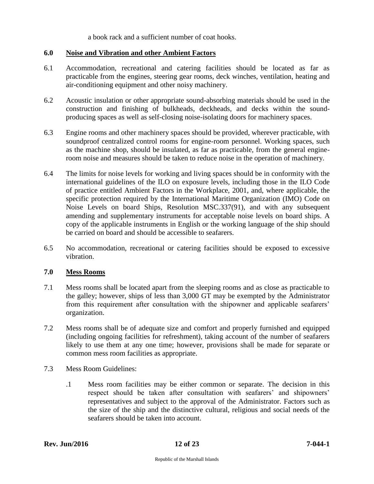a book rack and a sufficient number of coat hooks.

#### <span id="page-11-0"></span>**6.0 Noise and Vibration and other Ambient Factors**

- 6.1 Accommodation, recreational and catering facilities should be located as far as practicable from the engines, steering gear rooms, deck winches, ventilation, heating and air-conditioning equipment and other noisy machinery.
- 6.2 Acoustic insulation or other appropriate sound-absorbing materials should be used in the construction and finishing of bulkheads, deckheads, and decks within the soundproducing spaces as well as self-closing noise-isolating doors for machinery spaces.
- 6.3 Engine rooms and other machinery spaces should be provided, wherever practicable, with soundproof centralized control rooms for engine-room personnel. Working spaces, such as the machine shop, should be insulated, as far as practicable, from the general engineroom noise and measures should be taken to reduce noise in the operation of machinery.
- 6.4 The limits for noise levels for working and living spaces should be in conformity with the international guidelines of the ILO on exposure levels, including those in the ILO Code of practice entitled Ambient Factors in the Workplace, 2001, and, where applicable, the specific protection required by the International Maritime Organization (IMO) Code on Noise Levels on board Ships, Resolution MSC.337(91), and with any subsequent amending and supplementary instruments for acceptable noise levels on board ships. A copy of the applicable instruments in English or the working language of the ship should be carried on board and should be accessible to seafarers.
- 6.5 No accommodation, recreational or catering facilities should be exposed to excessive vibration.

# <span id="page-11-1"></span>**7.0 Mess Rooms**

- 7.1 Mess rooms shall be located apart from the sleeping rooms and as close as practicable to the galley; however, ships of less than 3,000 GT may be exempted by the Administrator from this requirement after consultation with the shipowner and applicable seafarers' organization.
- 7.2 Mess rooms shall be of adequate size and comfort and properly furnished and equipped (including ongoing facilities for refreshment), taking account of the number of seafarers likely to use them at any one time; however, provisions shall be made for separate or common mess room facilities as appropriate.
- 7.3 Mess Room Guidelines:
	- .1 Mess room facilities may be either common or separate. The decision in this respect should be taken after consultation with seafarers' and shipowners' representatives and subject to the approval of the Administrator. Factors such as the size of the ship and the distinctive cultural, religious and social needs of the seafarers should be taken into account.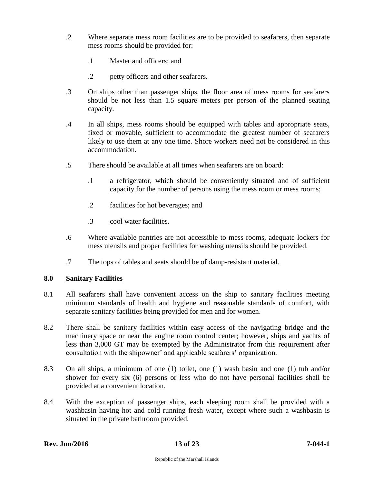- .2 Where separate mess room facilities are to be provided to seafarers, then separate mess rooms should be provided for:
	- .1 Master and officers; and
	- .2 petty officers and other seafarers.
- .3 On ships other than passenger ships, the floor area of mess rooms for seafarers should be not less than 1.5 square meters per person of the planned seating capacity.
- .4 In all ships, mess rooms should be equipped with tables and appropriate seats, fixed or movable, sufficient to accommodate the greatest number of seafarers likely to use them at any one time. Shore workers need not be considered in this accommodation.
- .5 There should be available at all times when seafarers are on board:
	- .1 a refrigerator, which should be conveniently situated and of sufficient capacity for the number of persons using the mess room or mess rooms;
	- .2 facilities for hot beverages; and
	- .3 cool water facilities.
- .6 Where available pantries are not accessible to mess rooms, adequate lockers for mess utensils and proper facilities for washing utensils should be provided.
- .7 The tops of tables and seats should be of damp-resistant material.

# <span id="page-12-0"></span>**8.0 Sanitary Facilities**

- 8.1 All seafarers shall have convenient access on the ship to sanitary facilities meeting minimum standards of health and hygiene and reasonable standards of comfort, with separate sanitary facilities being provided for men and for women.
- 8.2 There shall be sanitary facilities within easy access of the navigating bridge and the machinery space or near the engine room control center; however, ships and yachts of less than 3,000 GT may be exempted by the Administrator from this requirement after consultation with the shipowner' and applicable seafarers' organization.
- 8.3 On all ships, a minimum of one (1) toilet, one (1) wash basin and one (1) tub and/or shower for every six (6) persons or less who do not have personal facilities shall be provided at a convenient location.
- 8.4 With the exception of passenger ships, each sleeping room shall be provided with a washbasin having hot and cold running fresh water, except where such a washbasin is situated in the private bathroom provided.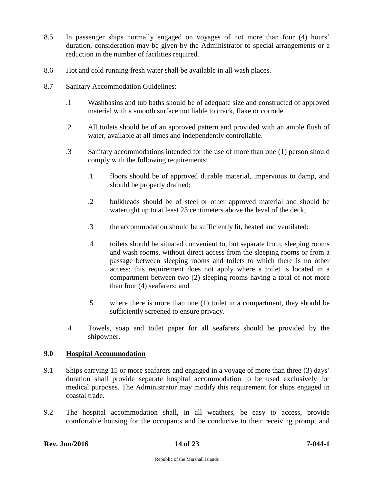- 8.5 In passenger ships normally engaged on voyages of not more than four (4) hours' duration, consideration may be given by the Administrator to special arrangements or a reduction in the number of facilities required.
- 8.6 Hot and cold running fresh water shall be available in all wash places.
- 8.7 Sanitary Accommodation Guidelines:
	- .1 Washbasins and tub baths should be of adequate size and constructed of approved material with a smooth surface not liable to crack, flake or corrode.
	- .2 All toilets should be of an approved pattern and provided with an ample flush of water, available at all times and independently controllable.
	- .3 Sanitary accommodations intended for the use of more than one (1) person should comply with the following requirements:
		- .1 floors should be of approved durable material, impervious to damp, and should be properly drained;
		- .2 bulkheads should be of steel or other approved material and should be watertight up to at least 23 centimeters above the level of the deck;
		- .3 the accommodation should be sufficiently lit, heated and ventilated;
		- .4 toilets should be situated convenient to, but separate from, sleeping rooms and wash rooms, without direct access from the sleeping rooms or from a passage between sleeping rooms and toilets to which there is no other access; this requirement does not apply where a toilet is located in a compartment between two (2) sleeping rooms having a total of not more than four (4) seafarers; and
		- .5 where there is more than one (1) toilet in a compartment, they should be sufficiently screened to ensure privacy.
	- .4 Towels, soap and toilet paper for all seafarers should be provided by the shipowner.

# <span id="page-13-0"></span>**9.0 Hospital Accommodation**

- 9.1 Ships carrying 15 or more seafarers and engaged in a voyage of more than three (3) days' duration shall provide separate hospital accommodation to be used exclusively for medical purposes. The Administrator may modify this requirement for ships engaged in coastal trade.
- 9.2 The hospital accommodation shall, in all weathers, be easy to access, provide comfortable housing for the occupants and be conducive to their receiving prompt and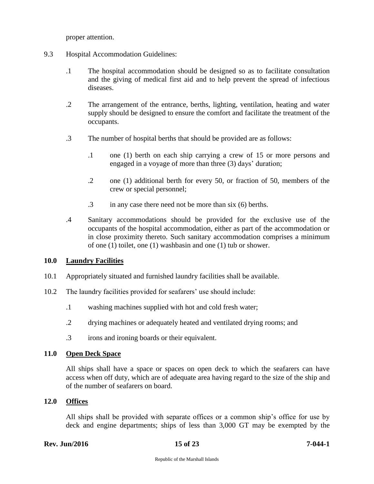proper attention.

- 9.3 Hospital Accommodation Guidelines:
	- .1 The hospital accommodation should be designed so as to facilitate consultation and the giving of medical first aid and to help prevent the spread of infectious diseases.
	- .2 The arrangement of the entrance, berths, lighting, ventilation, heating and water supply should be designed to ensure the comfort and facilitate the treatment of the occupants.
	- .3 The number of hospital berths that should be provided are as follows:
		- .1 one (1) berth on each ship carrying a crew of 15 or more persons and engaged in a voyage of more than three (3) days' duration;
		- .2 one (1) additional berth for every 50, or fraction of 50, members of the crew or special personnel;
		- .3 in any case there need not be more than six (6) berths.
	- .4 Sanitary accommodations should be provided for the exclusive use of the occupants of the hospital accommodation, either as part of the accommodation or in close proximity thereto. Such sanitary accommodation comprises a minimum of one (1) toilet, one (1) washbasin and one (1) tub or shower.

# <span id="page-14-0"></span>**10.0 Laundry Facilities**

- 10.1 Appropriately situated and furnished laundry facilities shall be available.
- 10.2 The laundry facilities provided for seafarers' use should include:
	- .1 washing machines supplied with hot and cold fresh water;
	- .2 drying machines or adequately heated and ventilated drying rooms; and
	- .3 irons and ironing boards or their equivalent.

# <span id="page-14-1"></span>**11.0 Open Deck Space**

All ships shall have a space or spaces on open deck to which the seafarers can have access when off duty, which are of adequate area having regard to the size of the ship and of the number of seafarers on board.

# <span id="page-14-2"></span>**12.0 Offices**

All ships shall be provided with separate offices or a common ship's office for use by deck and engine departments; ships of less than 3,000 GT may be exempted by the

# **Rev. Jun/2016 15 of 23 7-044-1**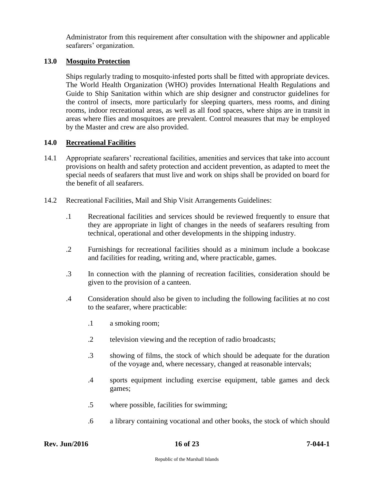Administrator from this requirement after consultation with the shipowner and applicable seafarers' organization.

# <span id="page-15-0"></span>**13.0 Mosquito Protection**

Ships regularly trading to mosquito-infested ports shall be fitted with appropriate devices. The World Health Organization (WHO) provides International Health Regulations and Guide to Ship Sanitation within which are ship designer and constructor guidelines for the control of insects, more particularly for sleeping quarters, mess rooms, and dining rooms, indoor recreational areas, as well as all food spaces, where ships are in transit in areas where flies and mosquitoes are prevalent. Control measures that may be employed by the Master and crew are also provided.

# <span id="page-15-1"></span>**14.0 Recreational Facilities**

- 14.1 Appropriate seafarers' recreational facilities, amenities and services that take into account provisions on health and safety protection and accident prevention, as adapted to meet the special needs of seafarers that must live and work on ships shall be provided on board for the benefit of all seafarers.
- 14.2 Recreational Facilities, Mail and Ship Visit Arrangements Guidelines:
	- .1 Recreational facilities and services should be reviewed frequently to ensure that they are appropriate in light of changes in the needs of seafarers resulting from technical, operational and other developments in the shipping industry.
	- .2 Furnishings for recreational facilities should as a minimum include a bookcase and facilities for reading, writing and, where practicable, games.
	- .3 In connection with the planning of recreation facilities, consideration should be given to the provision of a canteen.
	- .4 Consideration should also be given to including the following facilities at no cost to the seafarer, where practicable:
		- .1 a smoking room;
		- .2 television viewing and the reception of radio broadcasts;
		- .3 showing of films, the stock of which should be adequate for the duration of the voyage and, where necessary, changed at reasonable intervals;
		- .4 sports equipment including exercise equipment, table games and deck games;
		- .5 where possible, facilities for swimming;
		- .6 a library containing vocational and other books, the stock of which should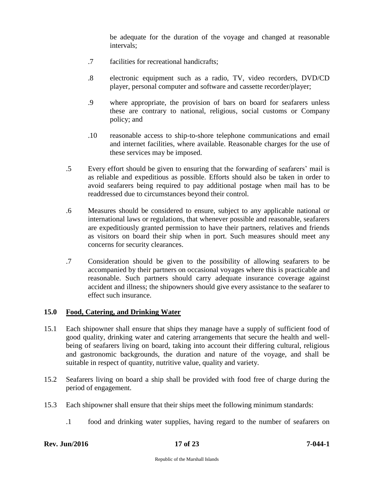be adequate for the duration of the voyage and changed at reasonable intervals;

- .7 facilities for recreational handicrafts;
- .8 electronic equipment such as a radio, TV, video recorders, DVD/CD player, personal computer and software and cassette recorder/player;
- .9 where appropriate, the provision of bars on board for seafarers unless these are contrary to national, religious, social customs or Company policy; and
- .10 reasonable access to ship-to-shore telephone communications and email and internet facilities, where available. Reasonable charges for the use of these services may be imposed.
- .5 Every effort should be given to ensuring that the forwarding of seafarers' mail is as reliable and expeditious as possible. Efforts should also be taken in order to avoid seafarers being required to pay additional postage when mail has to be readdressed due to circumstances beyond their control.
- .6 Measures should be considered to ensure, subject to any applicable national or international laws or regulations, that whenever possible and reasonable, seafarers are expeditiously granted permission to have their partners, relatives and friends as visitors on board their ship when in port. Such measures should meet any concerns for security clearances.
- .7 Consideration should be given to the possibility of allowing seafarers to be accompanied by their partners on occasional voyages where this is practicable and reasonable. Such partners should carry adequate insurance coverage against accident and illness; the shipowners should give every assistance to the seafarer to effect such insurance.

# <span id="page-16-0"></span>**15.0 Food, Catering, and Drinking Water**

- 15.1 Each shipowner shall ensure that ships they manage have a supply of sufficient food of good quality, drinking water and catering arrangements that secure the health and wellbeing of seafarers living on board, taking into account their differing cultural, religious and gastronomic backgrounds, the duration and nature of the voyage, and shall be suitable in respect of quantity, nutritive value, quality and variety.
- 15.2 Seafarers living on board a ship shall be provided with food free of charge during the period of engagement.
- 15.3 Each shipowner shall ensure that their ships meet the following minimum standards:
	- .1 food and drinking water supplies, having regard to the number of seafarers on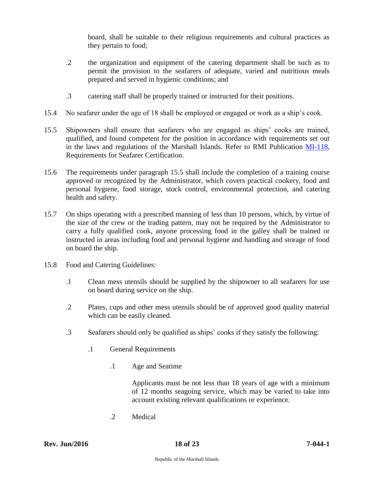board, shall be suitable to their religious requirements and cultural practices as they pertain to food;

- .2 the organization and equipment of the catering department shall be such as to permit the provision to the seafarers of adequate, varied and nutritious meals prepared and served in hygienic conditions; and
- .3 catering staff shall be properly trained or instructed for their positions.
- 15.4 No seafarer under the age of 18 shall be employed or engaged or work as a ship's cook.
- 15.5 Shipowners shall ensure that seafarers who are engaged as ships' cooks are trained, qualified, and found competent for the position in accordance with requirements set out in the laws and regulations of the Marshall Islands. Refer to RMI Publication [MI-118,](http://www.register-iri.com/forms/upload/MI-118.pdf) Requirements for Seafarer Certification.
- 15.6 The requirements under paragraph 15.5 shall include the completion of a training course approved or recognized by the Administrator, which covers practical cookery, food and personal hygiene, food storage, stock control, environmental protection, and catering health and safety.
- 15.7 On ships operating with a prescribed manning of less than 10 persons, which, by virtue of the size of the crew or the trading pattern, may not be required by the Administrator to carry a fully qualified cook, anyone processing food in the galley shall be trained or instructed in areas including food and personal hygiene and handling and storage of food on board the ship.
- 15.8 Food and Catering Guidelines:
	- .1 Clean mess utensils should be supplied by the shipowner to all seafarers for use on board during service on the ship.
	- .2 Plates, cups and other mess utensils should be of approved good quality material which can be easily cleaned.
	- .3 Seafarers should only be qualified as ships' cooks if they satisfy the following:
		- .1 General Requirements
			- .1 Age and Seatime

Applicants must be not less than 18 years of age with a minimum of 12 months seagoing service, which may be varied to take into account existing relevant qualifications or experience.

.2 Medical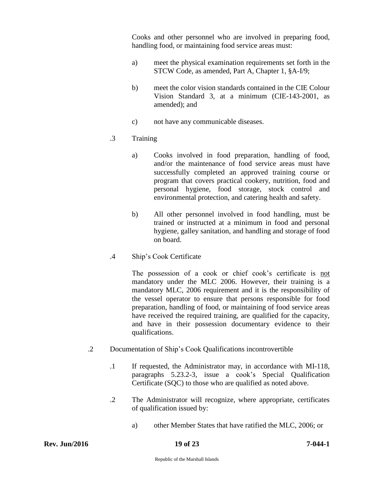Cooks and other personnel who are involved in preparing food, handling food, or maintaining food service areas must:

- a) meet the physical examination requirements set forth in the STCW Code, as amended, Part A, Chapter 1, §A-I/9;
- b) meet the color vision standards contained in the CIE Colour Vision Standard 3, at a minimum (CIE-143-2001, as amended); and
- c) not have any communicable diseases.

# .3 Training

- a) Cooks involved in food preparation, handling of food, and/or the maintenance of food service areas must have successfully completed an approved training course or program that covers practical cookery, nutrition, food and personal hygiene, food storage, stock control and environmental protection, and catering health and safety.
- b) All other personnel involved in food handling, must be trained or instructed at a minimum in food and personal hygiene, galley sanitation, and handling and storage of food on board.
- .4 Ship's Cook Certificate

The possession of a cook or chief cook's certificate is not mandatory under the MLC 2006. However, their training is a mandatory MLC, 2006 requirement and it is the responsibility of the vessel operator to ensure that persons responsible for food preparation, handling of food, or maintaining of food service areas have received the required training, are qualified for the capacity, and have in their possession documentary evidence to their qualifications.

- .2 Documentation of Ship's Cook Qualifications incontrovertible
	- .1 If requested, the Administrator may, in accordance with MI-118, paragraphs 5.23.2-3, issue a cook's Special Qualification Certificate (SQC) to those who are qualified as noted above.
	- .2 The Administrator will recognize, where appropriate, certificates of qualification issued by:
		- a) other Member States that have ratified the MLC, 2006; or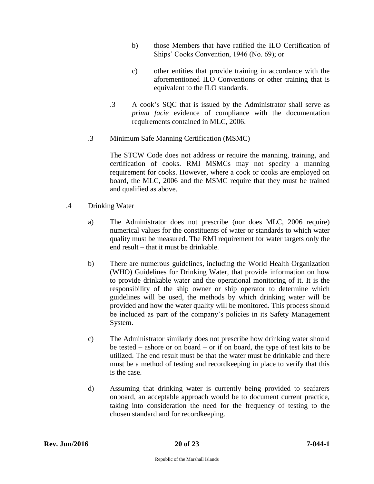- b) those Members that have ratified the ILO Certification of Ships' Cooks Convention, 1946 (No. 69); or
- c) other entities that provide training in accordance with the aforementioned ILO Conventions or other training that is equivalent to the ILO standards.
- .3 A cook's SQC that is issued by the Administrator shall serve as *prima facie* evidence of compliance with the documentation requirements contained in MLC, 2006.
- .3 Minimum Safe Manning Certification (MSMC)

The STCW Code does not address or require the manning, training, and certification of cooks. RMI MSMCs may not specify a manning requirement for cooks. However, where a cook or cooks are employed on board, the MLC, 2006 and the MSMC require that they must be trained and qualified as above.

- .4 Drinking Water
	- a) The Administrator does not prescribe (nor does MLC, 2006 require) numerical values for the constituents of water or standards to which water quality must be measured. The RMI requirement for water targets only the end result – that it must be drinkable.
	- b) There are numerous guidelines, including the World Health Organization (WHO) Guidelines for Drinking Water, that provide information on how to provide drinkable water and the operational monitoring of it. It is the responsibility of the ship owner or ship operator to determine which guidelines will be used, the methods by which drinking water will be provided and how the water quality will be monitored. This process should be included as part of the company's policies in its Safety Management System.
	- c) The Administrator similarly does not prescribe how drinking water should be tested – ashore or on board – or if on board, the type of test kits to be utilized. The end result must be that the water must be drinkable and there must be a method of testing and recordkeeping in place to verify that this is the case.
	- d) Assuming that drinking water is currently being provided to seafarers onboard, an acceptable approach would be to document current practice, taking into consideration the need for the frequency of testing to the chosen standard and for recordkeeping.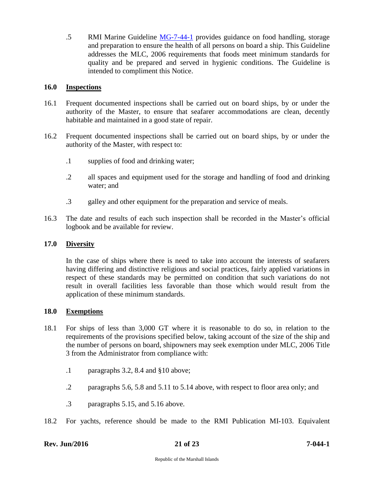.5 RMI Marine Guideline [MG-7-44-1](http://www.register-iri.com/forms/upload/MG-7-44-1.pdf) provides guidance on food handling, storage and preparation to ensure the health of all persons on board a ship. This Guideline addresses the MLC, 2006 requirements that foods meet minimum standards for quality and be prepared and served in hygienic conditions. The Guideline is intended to compliment this Notice.

# <span id="page-20-0"></span>**16.0 Inspections**

- 16.1 Frequent documented inspections shall be carried out on board ships, by or under the authority of the Master, to ensure that seafarer accommodations are clean, decently habitable and maintained in a good state of repair.
- 16.2 Frequent documented inspections shall be carried out on board ships, by or under the authority of the Master, with respect to:
	- .1 supplies of food and drinking water;
	- .2 all spaces and equipment used for the storage and handling of food and drinking water; and
	- .3 galley and other equipment for the preparation and service of meals.
- 16.3 The date and results of each such inspection shall be recorded in the Master's official logbook and be available for review.

# <span id="page-20-1"></span>**17.0 Diversity**

In the case of ships where there is need to take into account the interests of seafarers having differing and distinctive religious and social practices, fairly applied variations in respect of these standards may be permitted on condition that such variations do not result in overall facilities less favorable than those which would result from the application of these minimum standards.

# <span id="page-20-2"></span>**18.0 Exemptions**

- 18.1 For ships of less than 3,000 GT where it is reasonable to do so, in relation to the requirements of the provisions specified below, taking account of the size of the ship and the number of persons on board, shipowners may seek exemption under MLC, 2006 Title 3 from the Administrator from compliance with:
	- .1 paragraphs 3.2, 8.4 and §10 above;
	- .2 paragraphs 5.6, 5.8 and 5.11 to 5.14 above, with respect to floor area only; and
	- .3 paragraphs 5.15, and 5.16 above.
- 18.2 For yachts, reference should be made to the RMI Publication MI-103. Equivalent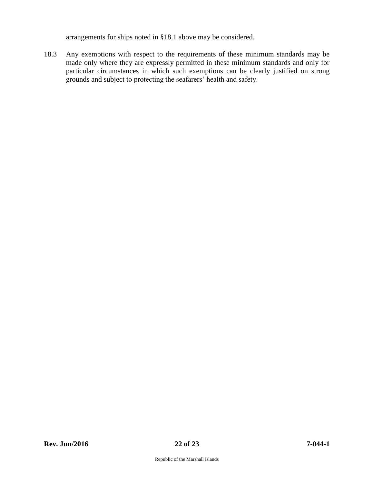arrangements for ships noted in §18.1 above may be considered.

18.3 Any exemptions with respect to the requirements of these minimum standards may be made only where they are expressly permitted in these minimum standards and only for particular circumstances in which such exemptions can be clearly justified on strong grounds and subject to protecting the seafarers' health and safety.